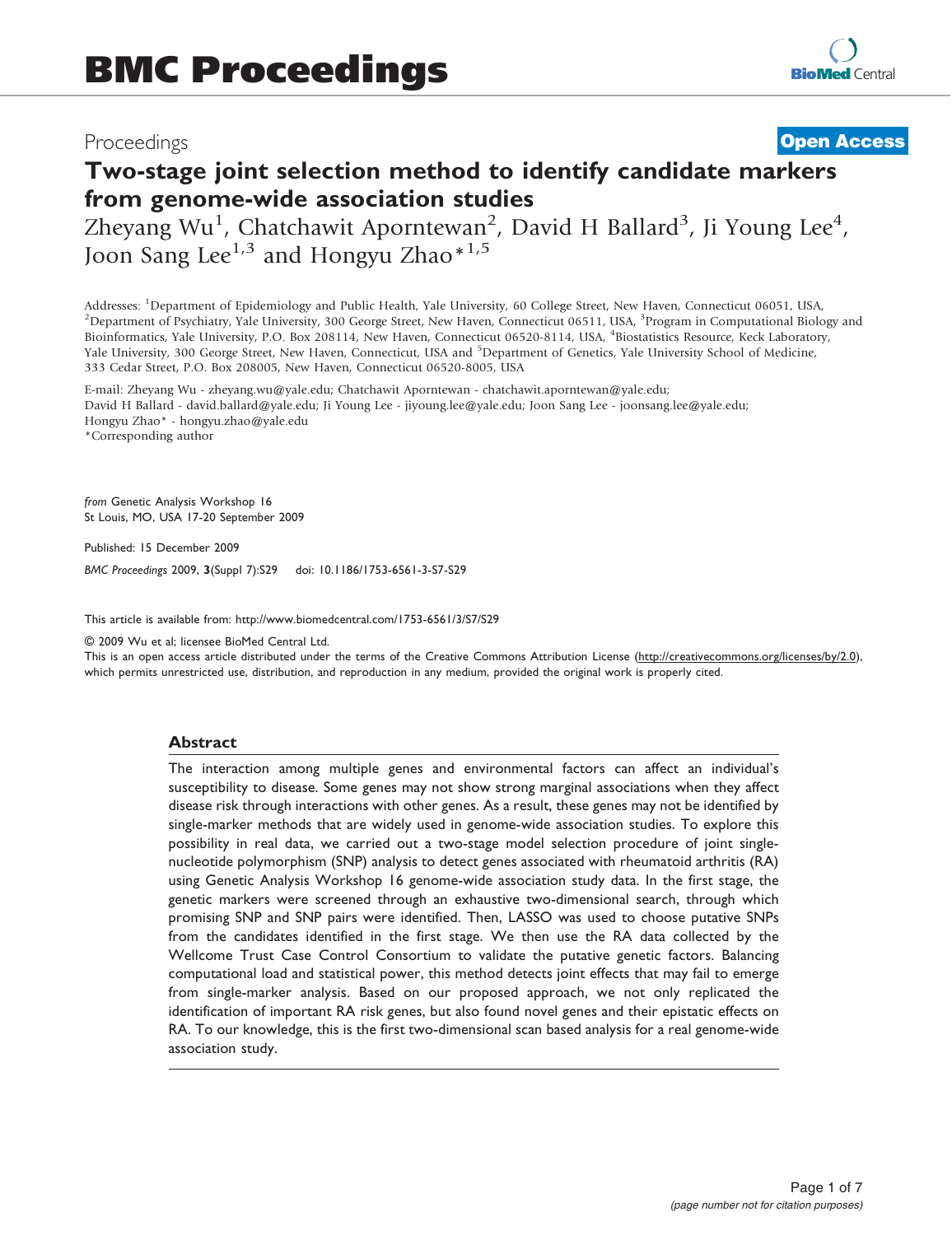# Proceedings

# **[Open Access](http://www.biomedcentral.com/info/about/charter/)**

# Two-stage joint selection method to identify candidate markers from genome-wide association studies

Zheyang Wu<sup>1</sup>, Chatchawit Aporntewan<sup>2</sup>, David H Ballard<sup>3</sup>, Ji Young Lee<sup>4</sup>, Joon Sang Lee<sup>1,3</sup> and Hongyu Zhao\*<sup>1,5</sup>

Addresses: <sup>1</sup>Department of Epidemiology and Public Health, Yale University, 60 College Street, New Haven, Connecticut 06051, USA, <sup>2</sup>Department of Peychiatry, Vale University, 300 Centre Street, New Haven, Connecticut 065 Department of Psychiatry, Yale University, 300 George Street, New Haven, Connecticut 06511, USA, <sup>3</sup>Program in Computational Biology and Bioinformatics, Yale University, P.O. Box 208114, New Haven, Connecticut 06520-8114, USA, <sup>4</sup> Biostatistics Resource, Keck Laboratory, Yale University, 300 George Street, New Haven, Connecticut, USA and <sup>5</sup>Department of Genetics, Yale University School of Medicine, 333 Cedar Street, P.O. Box 208005, New Haven, Connecticut 06520-8005, USA

E-mail: Zheyang Wu - [zheyang.wu@yale.edu;](mailto:zheyang.wu@yale.edu) Chatchawit Aporntewan - [chatchawit.aporntewan@yale.edu;](mailto:chatchawit.aporntewan@yale.edu) David H Ballard - [david.ballard@yale.edu;](mailto:david.ballard@yale.edu) Ji Young Lee - [jiyoung.lee@yale.edu;](mailto:jiyoung.lee@yale.edu) Joon Sang Lee - [joonsang.lee@yale.edu](mailto:joonsang.lee@yale.edu); Hongyu Zhao\* - [hongyu.zhao@yale.edu](mailto:hongyu.zhao@yale.edu) \*Corresponding author

from Genetic Analysis Workshop 16 St Louis, MO, USA 17-20 September 2009

Published: 15 December 2009

BMC Proceedings 2009, 3(Suppl 7):S29 doi: 10.1186/1753-6561-3-S7-S29

This article is available from: http://www.biomedcentral.com/1753-6561/3/S7/S29

© 2009 Wu et al; licensee BioMed Central Ltd.

This is an open access article distributed under the terms of the Creative Commons Attribution License [\(http://creativecommons.org/licenses/by/2.0\)](http://creativecommons.org/licenses/by/2.0), which permits unrestricted use, distribution, and reproduction in any medium, provided the original work is properly cited.

#### Abstract

The interaction among multiple genes and environmental factors can affect an individual's susceptibility to disease. Some genes may not show strong marginal associations when they affect disease risk through interactions with other genes. As a result, these genes may not be identified by single-marker methods that are widely used in genome-wide association studies. To explore this possibility in real data, we carried out a two-stage model selection procedure of joint singlenucleotide polymorphism (SNP) analysis to detect genes associated with rheumatoid arthritis (RA) using Genetic Analysis Workshop 16 genome-wide association study data. In the first stage, the genetic markers were screened through an exhaustive two-dimensional search, through which promising SNP and SNP pairs were identified. Then, LASSO was used to choose putative SNPs from the candidates identified in the first stage. We then use the RA data collected by the Wellcome Trust Case Control Consortium to validate the putative genetic factors. Balancing computational load and statistical power, this method detects joint effects that may fail to emerge from single-marker analysis. Based on our proposed approach, we not only replicated the identification of important RA risk genes, but also found novel genes and their epistatic effects on RA. To our knowledge, this is the first two-dimensional scan based analysis for a real genome-wide association study.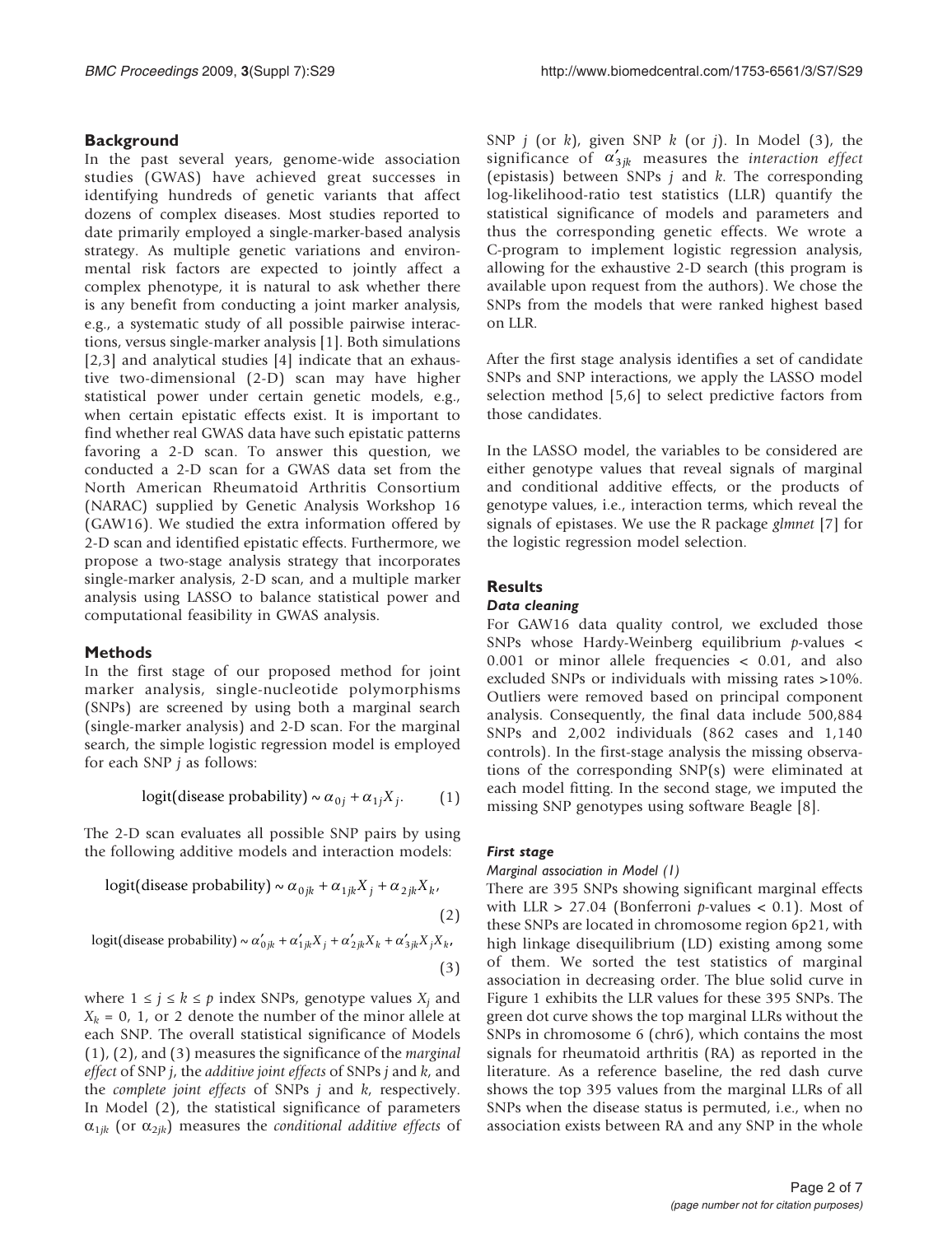# **Background**

In the past several years, genome-wide association studies (GWAS) have achieved great successes in identifying hundreds of genetic variants that affect dozens of complex diseases. Most studies reported to date primarily employed a single-marker-based analysis strategy. As multiple genetic variations and environmental risk factors are expected to jointly affect a complex phenotype, it is natural to ask whether there is any benefit from conducting a joint marker analysis, e.g., a systematic study of all possible pairwise interactions, versus single-marker analysis [[1](#page-6-0)]. Both simulations [[2](#page-6-0),[3](#page-6-0)] and analytical studies [[4](#page-6-0)] indicate that an exhaustive two-dimensional (2-D) scan may have higher statistical power under certain genetic models, e.g., when certain epistatic effects exist. It is important to find whether real GWAS data have such epistatic patterns favoring a 2-D scan. To answer this question, we conducted a 2-D scan for a GWAS data set from the North American Rheumatoid Arthritis Consortium (NARAC) supplied by Genetic Analysis Workshop 16 (GAW16). We studied the extra information offered by 2-D scan and identified epistatic effects. Furthermore, we propose a two-stage analysis strategy that incorporates single-marker analysis, 2-D scan, and a multiple marker analysis using LASSO to balance statistical power and computational feasibility in GWAS analysis.

# Methods

In the first stage of our proposed method for joint marker analysis, single-nucleotide polymorphisms (SNPs) are screened by using both a marginal search (single-marker analysis) and 2-D scan. For the marginal search, the simple logistic regression model is employed for each SNP  $j$  as follows:

$$
logit(disease probability) \sim \alpha_{0j} + \alpha_{1j} X_j.
$$
 (1)

The 2-D scan evaluates all possible SNP pairs by using the following additive models and interaction models:

logit(disease probability) ~ 
$$
\alpha_{0jk} + \alpha_{1jk} X_j + \alpha_{2jk} X_k
$$
, (2)

logit(disease probability) ~ 
$$
\alpha'_{0jk} + \alpha'_{1jk}X_j + \alpha'_{2jk}X_k + \alpha'_{3jk}X_jX_k
$$
, (3)

where  $1 \le j \le k \le p$  index SNPs, genotype values  $X_i$  and  $X_k = 0$ , 1, or 2 denote the number of the minor allele at each SNP. The overall statistical significance of Models (1), (2), and (3) measures the significance of the marginal effect of SNP j, the additive joint effects of SNPs j and k, and the *complete joint effects* of SNPs  $j$  and  $k$ , respectively. In Model (2), the statistical significance of parameters  $\alpha_{1jk}$  (or  $\alpha_{2jk}$ ) measures the *conditional additive effects* of SNP  $j$  (or  $k$ ), given SNP  $k$  (or  $j$ ). In Model (3), the significance of  $\alpha'_{3jk}$  measures the *interaction effect* (epistasis) between SNPs  $j$  and  $k$ . The corresponding log-likelihood-ratio test statistics (LLR) quantify the statistical significance of models and parameters and thus the corresponding genetic effects. We wrote a C-program to implement logistic regression analysis, allowing for the exhaustive 2-D search (this program is available upon request from the authors). We chose the SNPs from the models that were ranked highest based on LLR.

After the first stage analysis identifies a set of candidate SNPs and SNP interactions, we apply the LASSO model selection method [\[5,6\]](#page-6-0) to select predictive factors from those candidates.

In the LASSO model, the variables to be considered are either genotype values that reveal signals of marginal and conditional additive effects, or the products of genotype values, i.e., interaction terms, which reveal the signals of epistases. We use the R package glmnet [[7](#page-6-0)] for the logistic regression model selection.

# **Results**

## Data cleaning

For GAW16 data quality control, we excluded those SNPs whose Hardy-Weinberg equilibrium  $p$ -values < 0.001 or minor allele frequencies < 0.01, and also excluded SNPs or individuals with missing rates >10%. Outliers were removed based on principal component analysis. Consequently, the final data include 500,884 SNPs and 2,002 individuals (862 cases and 1,140 controls). In the first-stage analysis the missing observations of the corresponding SNP(s) were eliminated at each model fitting. In the second stage, we imputed the missing SNP genotypes using software Beagle [[8\]](#page-6-0).

# First stage

#### Marginal association in Model (1)

There are 395 SNPs showing significant marginal effects with LLR  $> 27.04$  (Bonferroni p-values < 0.1). Most of these SNPs are located in chromosome region 6p21, with high linkage disequilibrium (LD) existing among some of them. We sorted the test statistics of marginal association in decreasing order. The blue solid curve in [Figure 1](#page-2-0) exhibits the LLR values for these 395 SNPs. The green dot curve shows the top marginal LLRs without the SNPs in chromosome 6 (chr6), which contains the most signals for rheumatoid arthritis (RA) as reported in the literature. As a reference baseline, the red dash curve shows the top 395 values from the marginal LLRs of all SNPs when the disease status is permuted, i.e., when no association exists between RA and any SNP in the whole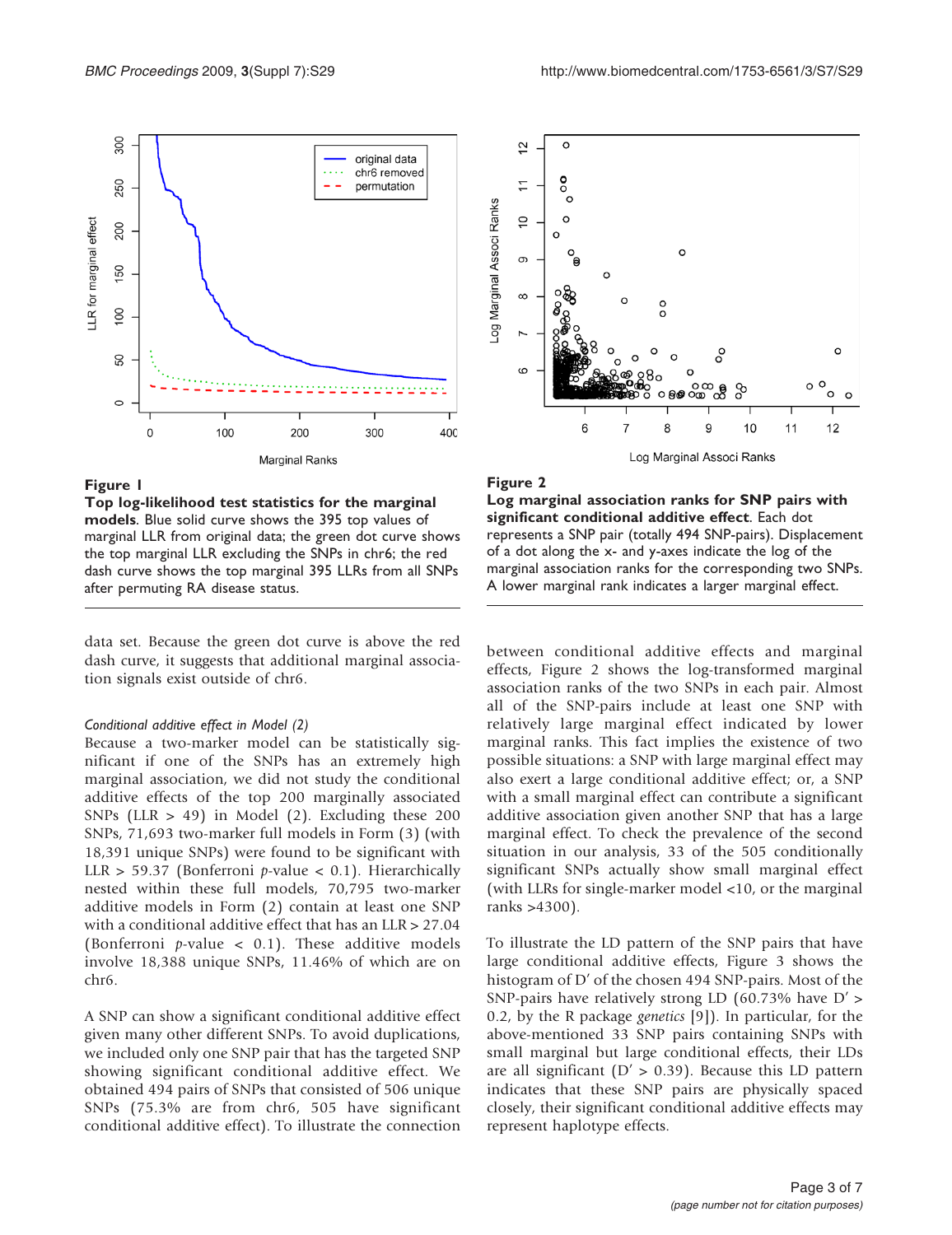<span id="page-2-0"></span>

#### Figure 1

Top log-likelihood test statistics for the marginal models. Blue solid curve shows the 395 top values of marginal LLR from original data; the green dot curve shows the top marginal LLR excluding the SNPs in chr6; the red dash curve shows the top marginal 395 LLRs from all SNPs after permuting RA disease status.

data set. Because the green dot curve is above the red dash curve, it suggests that additional marginal association signals exist outside of chr6.

#### Conditional additive effect in Model (2)

Because a two-marker model can be statistically significant if one of the SNPs has an extremely high marginal association, we did not study the conditional additive effects of the top 200 marginally associated SNPs (LLR  $> 49$ ) in Model (2). Excluding these 200 SNPs, 71,693 two-marker full models in Form (3) (with 18,391 unique SNPs) were found to be significant with LLR > 59.37 (Bonferroni p-value < 0.1). Hierarchically nested within these full models, 70,795 two-marker additive models in Form (2) contain at least one SNP with a conditional additive effect that has an LLR > 27.04 (Bonferroni  $p$ -value < 0.1). These additive models involve 18,388 unique SNPs, 11.46% of which are on chr6.

A SNP can show a significant conditional additive effect given many other different SNPs. To avoid duplications, we included only one SNP pair that has the targeted SNP showing significant conditional additive effect. We obtained 494 pairs of SNPs that consisted of 506 unique SNPs (75.3% are from chr6, 505 have significant conditional additive effect). To illustrate the connection



#### Figure 2

Log marginal association ranks for SNP pairs with significant conditional additive effect. Each dot represents a SNP pair (totally 494 SNP-pairs). Displacement of a dot along the x- and y-axes indicate the log of the marginal association ranks for the corresponding two SNPs. A lower marginal rank indicates a larger marginal effect.

between conditional additive effects and marginal effects, Figure 2 shows the log-transformed marginal association ranks of the two SNPs in each pair. Almost all of the SNP-pairs include at least one SNP with relatively large marginal effect indicated by lower marginal ranks. This fact implies the existence of two possible situations: a SNP with large marginal effect may also exert a large conditional additive effect; or, a SNP with a small marginal effect can contribute a significant additive association given another SNP that has a large marginal effect. To check the prevalence of the second situation in our analysis, 33 of the 505 conditionally significant SNPs actually show small marginal effect (with LLRs for single-marker model <10, or the marginal ranks >4300).

To illustrate the LD pattern of the SNP pairs that have large conditional additive effects, [Figure 3](#page-3-0) shows the histogram of D' of the chosen 494 SNP-pairs. Most of the SNP-pairs have relatively strong LD (60.73% have D' > 0.2, by the R package genetics [[9](#page-6-0)]). In particular, for the above-mentioned 33 SNP pairs containing SNPs with small marginal but large conditional effects, their LDs are all significant ( $D' > 0.39$ ). Because this LD pattern indicates that these SNP pairs are physically spaced closely, their significant conditional additive effects may represent haplotype effects.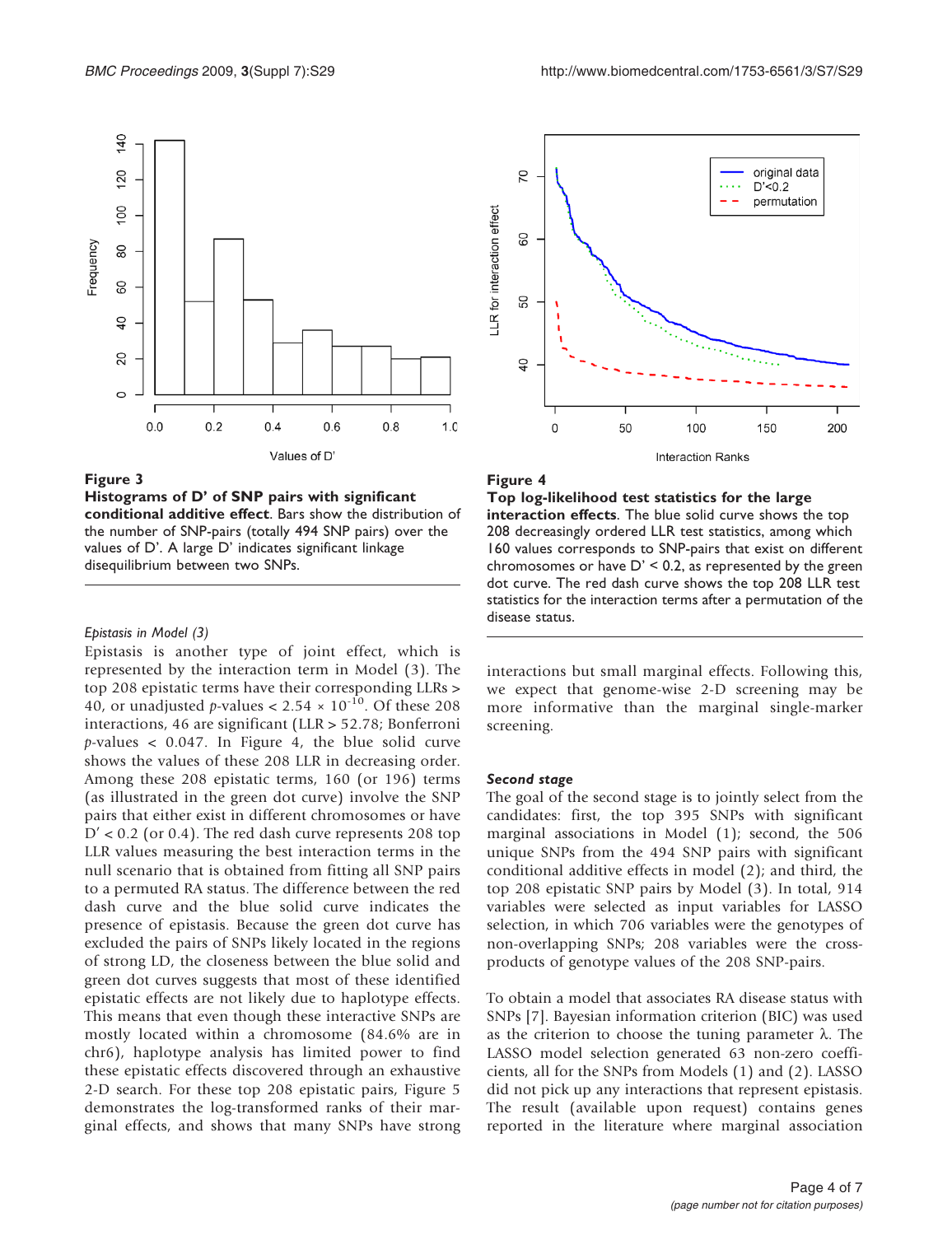<span id="page-3-0"></span>

#### Figure 3

Histograms of D' of SNP pairs with significant conditional additive effect. Bars show the distribution of the number of SNP-pairs (totally 494 SNP pairs) over the values of D'. A large D' indicates significant linkage disequilibrium between two SNPs.

#### Epistasis in Model (3)

Epistasis is another type of joint effect, which is represented by the interaction term in Model (3). The top 208 epistatic terms have their corresponding LLRs > 40, or unadjusted p-values <  $2.54 \times 10^{-10}$ . Of these 208 interactions, 46 are significant (LLR > 52.78; Bonferroni  $p$ -values < 0.047. In Figure 4, the blue solid curve shows the values of these 208 LLR in decreasing order. Among these 208 epistatic terms, 160 (or 196) terms (as illustrated in the green dot curve) involve the SNP pairs that either exist in different chromosomes or have  $D' < 0.2$  (or 0.4). The red dash curve represents 208 top LLR values measuring the best interaction terms in the null scenario that is obtained from fitting all SNP pairs to a permuted RA status. The difference between the red dash curve and the blue solid curve indicates the presence of epistasis. Because the green dot curve has excluded the pairs of SNPs likely located in the regions of strong LD, the closeness between the blue solid and green dot curves suggests that most of these identified epistatic effects are not likely due to haplotype effects. This means that even though these interactive SNPs are mostly located within a chromosome (84.6% are in chr6), haplotype analysis has limited power to find these epistatic effects discovered through an exhaustive 2-D search. For these top 208 epistatic pairs, [Figure 5](#page-4-0) demonstrates the log-transformed ranks of their marginal effects, and shows that many SNPs have strong



## Figure 4

Top log-likelihood test statistics for the large interaction effects. The blue solid curve shows the top 208 decreasingly ordered LLR test statistics, among which 160 values corresponds to SNP-pairs that exist on different chromosomes or have  $D' < 0.2$ , as represented by the green dot curve. The red dash curve shows the top 208 LLR test statistics for the interaction terms after a permutation of the disease status.

interactions but small marginal effects. Following this, we expect that genome-wise 2-D screening may be more informative than the marginal single-marker screening.

#### Second stage

The goal of the second stage is to jointly select from the candidates: first, the top 395 SNPs with significant marginal associations in Model (1); second, the 506 unique SNPs from the 494 SNP pairs with significant conditional additive effects in model (2); and third, the top 208 epistatic SNP pairs by Model (3). In total, 914 variables were selected as input variables for LASSO selection, in which 706 variables were the genotypes of non-overlapping SNPs; 208 variables were the crossproducts of genotype values of the 208 SNP-pairs.

To obtain a model that associates RA disease status with SNPs [\[7\]](#page-6-0). Bayesian information criterion (BIC) was used as the criterion to choose the tuning parameter  $\lambda$ . The LASSO model selection generated 63 non-zero coefficients, all for the SNPs from Models (1) and (2). LASSO did not pick up any interactions that represent epistasis. The result (available upon request) contains genes reported in the literature where marginal association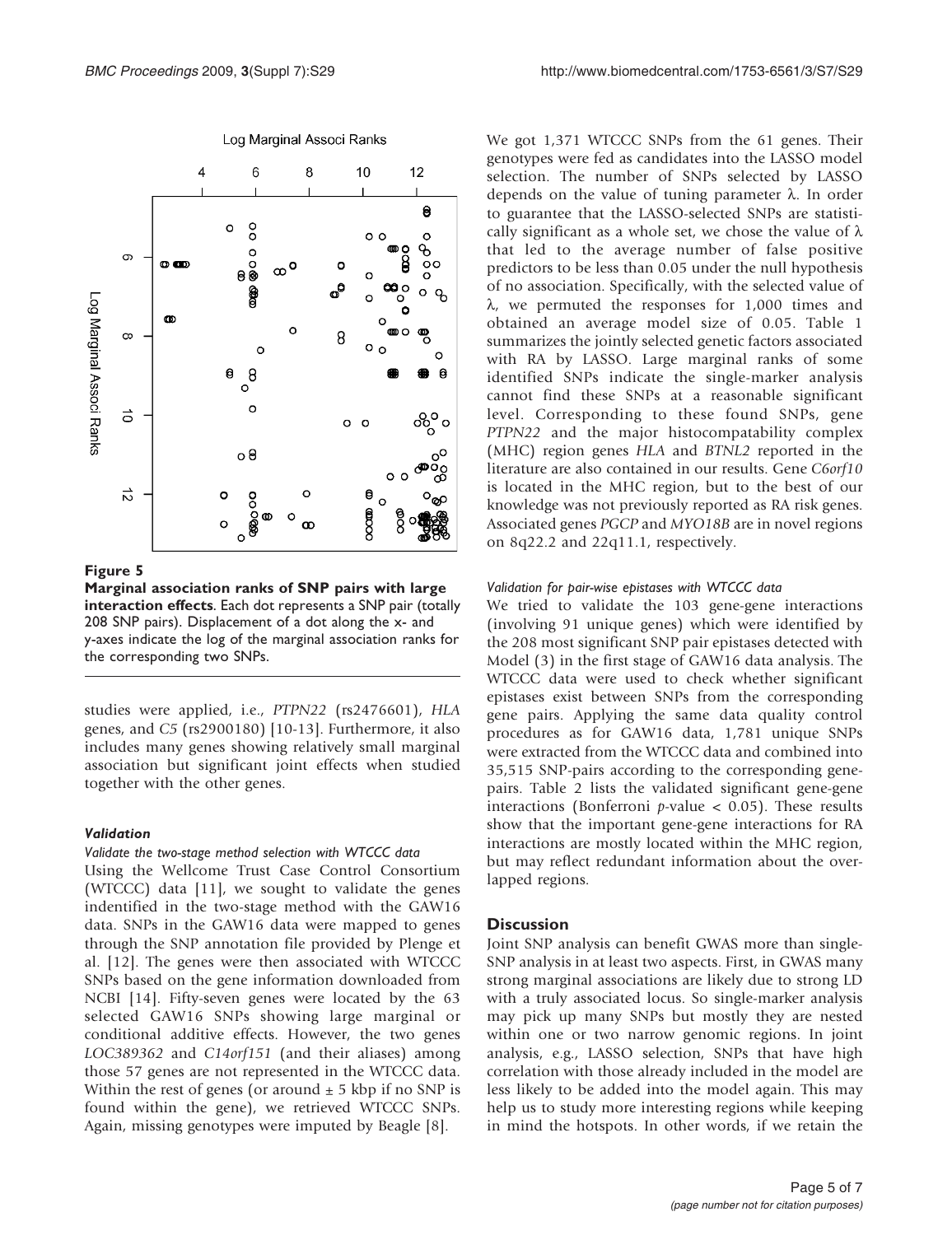<span id="page-4-0"></span>

#### Log Marginal Associ Ranks

#### Figure 5

Marginal association ranks of SNP pairs with large interaction effects. Each dot represents a SNP pair (totally 208 SNP pairs). Displacement of a dot along the x- and y-axes indicate the log of the marginal association ranks for the corresponding two SNPs.

studies were applied, i.e., PTPN22 (rs2476601), HLA genes, and C5 (rs2900180) [[10-13\]](#page-6-0). Furthermore, it also includes many genes showing relatively small marginal association but significant joint effects when studied together with the other genes.

#### Validation

#### Validate the two-stage method selection with WTCCC data

Using the Wellcome Trust Case Control Consortium (WTCCC) data [\[11](#page-6-0)], we sought to validate the genes indentified in the two-stage method with the GAW16 data. SNPs in the GAW16 data were mapped to genes through the SNP annotation file provided by Plenge et al. [\[12](#page-6-0)]. The genes were then associated with WTCCC SNPs based on the gene information downloaded from NCBI [\[14](#page-6-0)]. Fifty-seven genes were located by the 63 selected GAW16 SNPs showing large marginal or conditional additive effects. However, the two genes LOC389362 and C14orf151 (and their aliases) among those 57 genes are not represented in the WTCCC data. Within the rest of genes (or around  $\pm$  5 kbp if no SNP is found within the gene), we retrieved WTCCC SNPs. Again, missing genotypes were imputed by Beagle [\[8\]](#page-6-0).

We got 1,371 WTCCC SNPs from the 61 genes. Their genotypes were fed as candidates into the LASSO model selection. The number of SNPs selected by LASSO depends on the value of tuning parameter  $\lambda$ . In order to guarantee that the LASSO-selected SNPs are statistically significant as a whole set, we chose the value of  $\lambda$ that led to the average number of false positive predictors to be less than 0.05 under the null hypothesis of no association. Specifically, with the selected value of  $\lambda$ , we permuted the responses for 1,000 times and obtained an average model size of 0.05. [Table 1](#page-5-0) summarizes the jointly selected genetic factors associated with RA by LASSO. Large marginal ranks of some identified SNPs indicate the single-marker analysis cannot find these SNPs at a reasonable significant level. Corresponding to these found SNPs, gene PTPN22 and the major histocompatability complex (MHC) region genes HLA and BTNL2 reported in the literature are also contained in our results. Gene C6orf10 is located in the MHC region, but to the best of our knowledge was not previously reported as RA risk genes. Associated genes PGCP and MYO18B are in novel regions on 8q22.2 and 22q11.1, respectively.

#### Validation for pair-wise epistases with WTCCC data

We tried to validate the 103 gene-gene interactions (involving 91 unique genes) which were identified by the 208 most significant SNP pair epistases detected with Model (3) in the first stage of GAW16 data analysis. The WTCCC data were used to check whether significant epistases exist between SNPs from the corresponding gene pairs. Applying the same data quality control procedures as for GAW16 data, 1,781 unique SNPs were extracted from the WTCCC data and combined into 35,515 SNP-pairs according to the corresponding genepairs. [Table 2](#page-5-0) lists the validated significant gene-gene interactions (Bonferroni  $p$ -value < 0.05). These results show that the important gene-gene interactions for RA interactions are mostly located within the MHC region, but may reflect redundant information about the overlapped regions.

## **Discussion**

Joint SNP analysis can benefit GWAS more than single-SNP analysis in at least two aspects. First, in GWAS many strong marginal associations are likely due to strong LD with a truly associated locus. So single-marker analysis may pick up many SNPs but mostly they are nested within one or two narrow genomic regions. In joint analysis, e.g., LASSO selection, SNPs that have high correlation with those already included in the model are less likely to be added into the model again. This may help us to study more interesting regions while keeping in mind the hotspots. In other words, if we retain the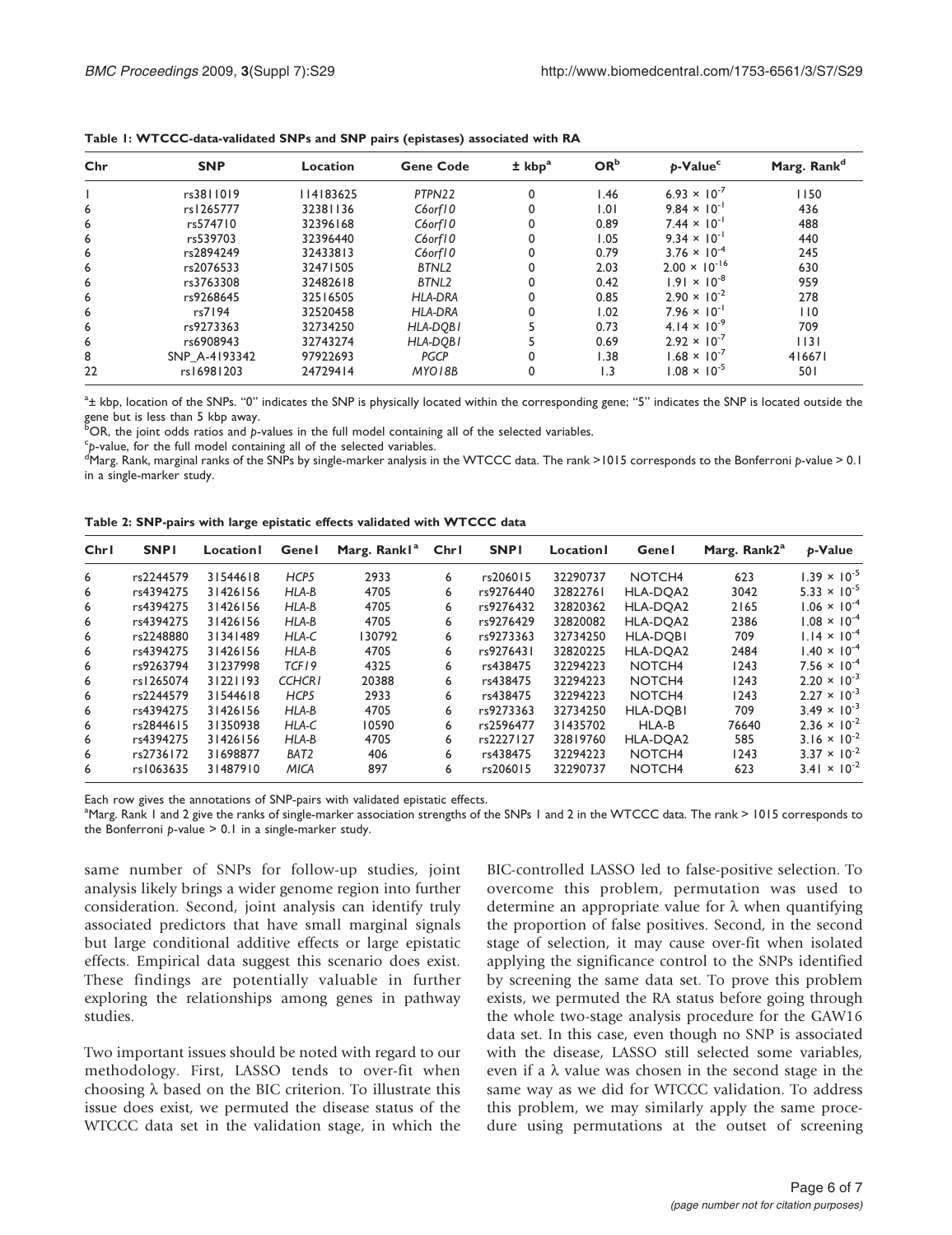| Chr | <b>SNP</b>    | Location  | <b>Gene Code</b>  | ± kbp <sup>a</sup> | OR <sup>b</sup> | p-Value <sup>c</sup>           | Marg. Rank <sup>d</sup> |
|-----|---------------|-----------|-------------------|--------------------|-----------------|--------------------------------|-------------------------|
|     | rs3811019     | 114183625 | PTPN22            | 0                  | l.46            | 6.93 $\times$ 10 <sup>-7</sup> | 1150                    |
| 6   | rs1265777     | 32381136  | C6orf10           |                    | 1.01            | $9.84 \times 10^{-1}$          | 436                     |
| 6   | rs574710      | 32396168  | C6orf10           |                    | 0.89            | $7.44 \times 10^{-1}$          | 488                     |
| 6   | rs539703      | 32396440  | C6orf10           |                    | 1.05            | $9.34 \times 10^{-1}$          | 440                     |
| 6   | rs2894249     | 32433813  | C6orf10           |                    | 0.79            | $3.76 \times 10^{-4}$          | 245                     |
| 6   | rs2076533     | 32471505  | BTNL2             |                    | 2.03            | $2.00 \times 10^{-16}$         | 630                     |
| 6   | rs3763308     | 32482618  | BTNL <sub>2</sub> |                    | 0.42            | $1.91 \times 10^{-8}$          | 959                     |
| 6   | rs9268645     | 32516505  | <b>HLA-DRA</b>    |                    | 0.85            | $2.90 \times 10^{-2}$          | 278                     |
| 6   | rs7194        | 32520458  | HLA-DRA           |                    | 1.02            | $7.96 \times 10^{-1}$          | 110                     |
| 6   | rs9273363     | 32734250  | HLA-DOBI          |                    | 0.73            | $4.14 \times 10^{-9}$          | 709                     |
| 6   | rs6908943     | 32743274  | HLA-DOBI          |                    | 0.69            | $2.92 \times 10^{-7}$          | $ $  3                  |
| 8   | SNP A-4193342 | 97922693  | <b>PGCP</b>       |                    | 1.38            | $1.68 \times 10^{-7}$          | 416671                  |
| 22  | rs16981203    | 24729414  | MYO18B            | 0                  | 1.3             | $1.08 \times 10^{-5}$          | 501                     |

<span id="page-5-0"></span>Table 1: WTCCC-data-validated SNPs and SNP pairs (epistases) associated with RA

 $^{\rm a}$ ± kbp, location of the SNPs. "0" indicates the SNP is physically located within the corresponding gene; "5" indicates the SNP is located outside the gene but is less than 5 kbp away.

 ${}^{5}$ OR, the joint odds ratios and p-values in the full model containing all of the selected variables.<br>Sh value, for the full model containing all of the selected variables.

 $cp$ -value, for the full model containing all of the selected variables.

 $\rm ^d$ Marg. Rank, marginal ranks of the SNPs by single-marker analysis in the WTCCC data. The rank >1015 corresponds to the Bonferroni p-value > 0.1 in a single-marker study.

|  |  |  | Table 2: SNP-pairs with large epistatic effects validated with WTCCC data |  |  |
|--|--|--|---------------------------------------------------------------------------|--|--|
|--|--|--|---------------------------------------------------------------------------|--|--|

| Chr1 | <b>SNPI</b> | Location | Genel            | Marg. Rankl <sup>a</sup> | Chr1 | <b>SNPI</b> | Location | Genel              | Marg. Rank2 <sup>a</sup> | <b>p-Value</b>        |
|------|-------------|----------|------------------|--------------------------|------|-------------|----------|--------------------|--------------------------|-----------------------|
| 6    | rs2244579   | 31544618 | HCP <sub>5</sub> | 2933                     | 6    | rs206015    | 32290737 | NOTCH <sub>4</sub> | 623                      | $1.39 \times 10^{-5}$ |
| 6    | rs4394275   | 31426156 | HLA-B            | 4705                     | 6    | rs9276440   | 32822761 | HLA-DOA2           | 3042                     | $5.33 \times 10^{-5}$ |
| 6    | rs4394275   | 31426156 | HLA-B            | 4705                     | 6    | rs9276432   | 32820362 | HLA-DOA2           | 2165                     | $1.06 \times 10^{-4}$ |
| 6    | rs4394275   | 31426156 | HLA-B            | 4705                     | 6    | rs9276429   | 32820082 | HLA-DOA2           | 2386                     | $1.08 \times 10^{-4}$ |
| 6    | rs2248880   | 31341489 | HLA-C            | 130792                   | 6    | rs9273363   | 32734250 | <b>HLA-DOBI</b>    | 709                      | $1.14 \times 10^{-4}$ |
| 6    | rs4394275   | 31426156 | HLA-B            | 4705                     | 6    | rs9276431   | 32820225 | HLA-DOA2           | 2484                     | $1.40 \times 10^{-4}$ |
| 6    | rs9263794   | 31237998 | TCF19            | 4325                     | 6    | rs438475    | 32294223 | NOTCH <sub>4</sub> | 1243                     | $7.56 \times 10^{-4}$ |
| 6    | rs1265074   | 31221193 | <b>CCHCRI</b>    | 20388                    | 6    | rs438475    | 32294223 | NOTCH <sub>4</sub> | 1243                     | $2.20 \times 10^{-3}$ |
| 6    | rs2244579   | 31544618 | HCP <sub>5</sub> | 2933                     | 6    | rs438475    | 32294223 | NOTCH <sub>4</sub> | 1243                     | $2.27 \times 10^{-3}$ |
| 6    | rs4394275   | 31426156 | HLA-B            | 4705                     | 6    | rs9273363   | 32734250 | <b>HLA-DOBI</b>    | 709                      | $3.49 \times 10^{-3}$ |
| 6    | rs2844615   | 31350938 | HLA-C            | 10590                    | 6    | rs2596477   | 31435702 | HLA-B              | 76640                    | $2.36 \times 10^{-2}$ |
| 6    | rs4394275   | 31426156 | HLA-B            | 4705                     | 6    | rs2227127   | 32819760 | HLA-DOA2           | 585                      | $3.16 \times 10^{-2}$ |
| 6    | rs2736172   | 31698877 | BAT <sub>2</sub> | 406                      | 6    | rs438475    | 32294223 | NOTCH <sub>4</sub> | 1243                     | $3.37 \times 10^{-2}$ |
| 6    | rs1063635   | 31487910 | <b>MICA</b>      | 897                      | 6    | rs206015    | 32290737 | NOTCH <sub>4</sub> | 623                      | $3.41 \times 10^{-2}$ |

Each row gives the annotations of SNP-pairs with validated epistatic effects.

<sup>a</sup>Marg. Rank 1 and 2 give the ranks of single-marker association strengths of the SNPs 1 and 2 in the WTCCC data. The rank > 1015 corresponds to the Bonferroni  $p$ -value  $> 0.1$  in a single-marker study.

same number of SNPs for follow-up studies, joint analysis likely brings a wider genome region into further consideration. Second, joint analysis can identify truly associated predictors that have small marginal signals but large conditional additive effects or large epistatic effects. Empirical data suggest this scenario does exist. These findings are potentially valuable in further exploring the relationships among genes in pathway studies.

Two important issues should be noted with regard to our methodology. First, LASSO tends to over-fit when choosing  $\lambda$  based on the BIC criterion. To illustrate this issue does exist, we permuted the disease status of the WTCCC data set in the validation stage, in which the

BIC-controlled LASSO led to false-positive selection. To overcome this problem, permutation was used to determine an appropriate value for  $\lambda$  when quantifying the proportion of false positives. Second, in the second stage of selection, it may cause over-fit when isolated applying the significance control to the SNPs identified by screening the same data set. To prove this problem exists, we permuted the RA status before going through the whole two-stage analysis procedure for the GAW16 data set. In this case, even though no SNP is associated with the disease, LASSO still selected some variables, even if a  $\lambda$  value was chosen in the second stage in the same way as we did for WTCCC validation. To address this problem, we may similarly apply the same procedure using permutations at the outset of screening